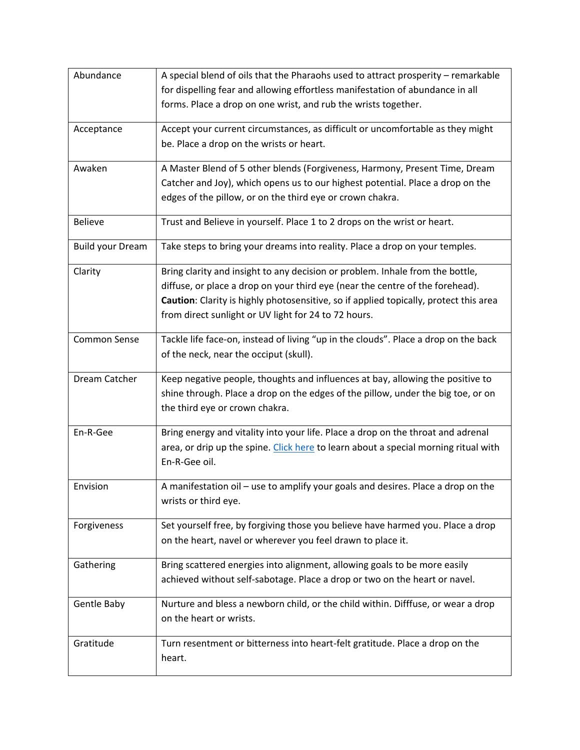| Abundance               | A special blend of oils that the Pharaohs used to attract prosperity - remarkable     |
|-------------------------|---------------------------------------------------------------------------------------|
|                         | for dispelling fear and allowing effortless manifestation of abundance in all         |
|                         | forms. Place a drop on one wrist, and rub the wrists together.                        |
|                         |                                                                                       |
| Acceptance              | Accept your current circumstances, as difficult or uncomfortable as they might        |
|                         | be. Place a drop on the wrists or heart.                                              |
| Awaken                  | A Master Blend of 5 other blends (Forgiveness, Harmony, Present Time, Dream           |
|                         | Catcher and Joy), which opens us to our highest potential. Place a drop on the        |
|                         | edges of the pillow, or on the third eye or crown chakra.                             |
|                         |                                                                                       |
| <b>Believe</b>          | Trust and Believe in yourself. Place 1 to 2 drops on the wrist or heart.              |
| <b>Build your Dream</b> | Take steps to bring your dreams into reality. Place a drop on your temples.           |
| Clarity                 | Bring clarity and insight to any decision or problem. Inhale from the bottle,         |
|                         | diffuse, or place a drop on your third eye (near the centre of the forehead).         |
|                         | Caution: Clarity is highly photosensitive, so if applied topically, protect this area |
|                         | from direct sunlight or UV light for 24 to 72 hours.                                  |
| Common Sense            | Tackle life face-on, instead of living "up in the clouds". Place a drop on the back   |
|                         | of the neck, near the occiput (skull).                                                |
|                         |                                                                                       |
| Dream Catcher           | Keep negative people, thoughts and influences at bay, allowing the positive to        |
|                         | shine through. Place a drop on the edges of the pillow, under the big toe, or on      |
|                         | the third eye or crown chakra.                                                        |
| En-R-Gee                | Bring energy and vitality into your life. Place a drop on the throat and adrenal      |
|                         | area, or drip up the spine. Click here to learn about a special morning ritual with   |
|                         | En-R-Gee oil.                                                                         |
| Envision                | A manifestation oil - use to amplify your goals and desires. Place a drop on the      |
|                         | wrists or third eye.                                                                  |
|                         |                                                                                       |
| Forgiveness             | Set yourself free, by forgiving those you believe have harmed you. Place a drop       |
|                         | on the heart, navel or wherever you feel drawn to place it.                           |
| Gathering               | Bring scattered energies into alignment, allowing goals to be more easily             |
|                         | achieved without self-sabotage. Place a drop or two on the heart or navel.            |
|                         |                                                                                       |
| Gentle Baby             | Nurture and bless a newborn child, or the child within. Difffuse, or wear a drop      |
|                         | on the heart or wrists.                                                               |
| Gratitude               | Turn resentment or bitterness into heart-felt gratitude. Place a drop on the          |
|                         | heart.                                                                                |
|                         |                                                                                       |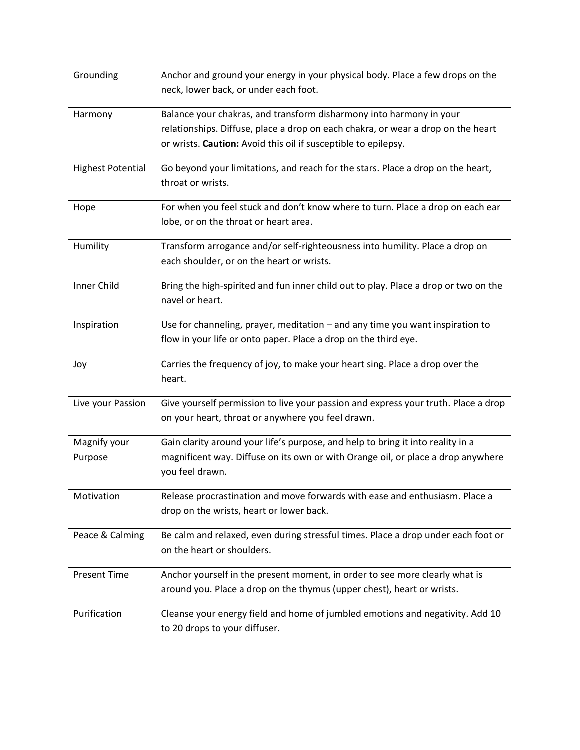| Grounding                | Anchor and ground your energy in your physical body. Place a few drops on the<br>neck, lower back, or under each foot.                                                                                                    |
|--------------------------|---------------------------------------------------------------------------------------------------------------------------------------------------------------------------------------------------------------------------|
| Harmony                  | Balance your chakras, and transform disharmony into harmony in your<br>relationships. Diffuse, place a drop on each chakra, or wear a drop on the heart<br>or wrists. Caution: Avoid this oil if susceptible to epilepsy. |
| <b>Highest Potential</b> | Go beyond your limitations, and reach for the stars. Place a drop on the heart,<br>throat or wrists.                                                                                                                      |
| Hope                     | For when you feel stuck and don't know where to turn. Place a drop on each ear<br>lobe, or on the throat or heart area.                                                                                                   |
| Humility                 | Transform arrogance and/or self-righteousness into humility. Place a drop on<br>each shoulder, or on the heart or wrists.                                                                                                 |
| <b>Inner Child</b>       | Bring the high-spirited and fun inner child out to play. Place a drop or two on the<br>navel or heart.                                                                                                                    |
| Inspiration              | Use for channeling, prayer, meditation $-$ and any time you want inspiration to<br>flow in your life or onto paper. Place a drop on the third eye.                                                                        |
| Joy                      | Carries the frequency of joy, to make your heart sing. Place a drop over the<br>heart.                                                                                                                                    |
| Live your Passion        | Give yourself permission to live your passion and express your truth. Place a drop<br>on your heart, throat or anywhere you feel drawn.                                                                                   |
| Magnify your<br>Purpose  | Gain clarity around your life's purpose, and help to bring it into reality in a<br>magnificent way. Diffuse on its own or with Orange oil, or place a drop anywhere<br>you feel drawn.                                    |
| Motivation               | Release procrastination and move forwards with ease and enthusiasm. Place a<br>drop on the wrists, heart or lower back.                                                                                                   |
| Peace & Calming          | Be calm and relaxed, even during stressful times. Place a drop under each foot or<br>on the heart or shoulders.                                                                                                           |
| <b>Present Time</b>      | Anchor yourself in the present moment, in order to see more clearly what is<br>around you. Place a drop on the thymus (upper chest), heart or wrists.                                                                     |
| Purification             | Cleanse your energy field and home of jumbled emotions and negativity. Add 10<br>to 20 drops to your diffuser.                                                                                                            |